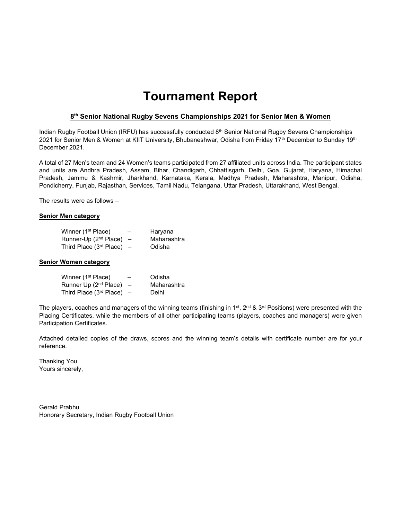# Tournament Report

#### 8<sup>th</sup> Senior National Rugby Sevens Championships 2021 for Senior Men & Women

Indian Rugby Football Union (IRFU) has successfully conducted 8<sup>th</sup> Senior National Rugby Sevens Championships 2021 for Senior Men & Women at KIIT University, Bhubaneshwar, Odisha from Friday 17<sup>th</sup> December to Sunday 19<sup>th</sup> December 2021.

A total of 27 Men's team and 24 Women's teams participated from 27 affiliated units across India. The participant states and units are Andhra Pradesh, Assam, Bihar, Chandigarh, Chhattisgarh, Delhi, Goa, Gujarat, Haryana, Himachal Pradesh, Jammu & Kashmir, Jharkhand, Karnataka, Kerala, Madhya Pradesh, Maharashtra, Manipur, Odisha, Pondicherry, Punjab, Rajasthan, Services, Tamil Nadu, Telangana, Uttar Pradesh, Uttarakhand, West Bengal.

The results were as follows –

#### Senior Men category

| Winner (1 <sup>st</sup> Place) | $\overline{\phantom{0}}$ | Haryana     |
|--------------------------------|--------------------------|-------------|
| Runner-Up $(2^{nd}$ Place) –   |                          | Maharashtra |
| Third Place $(3rd$ Place) –    |                          | Odisha      |

#### Senior Women category

| Winner (1 <sup>st</sup> Place) | $\overline{\phantom{0}}$ | Odisha      |
|--------------------------------|--------------------------|-------------|
| Runner Up $(2^{nd}$ Place) –   |                          | Maharashtra |
| Third Place $(3rd$ Place) –    |                          | Delhi       |

The players, coaches and managers of the winning teams (finishing in 1<sup>st</sup>, 2<sup>nd</sup> & 3<sup>rd</sup> Positions) were presented with the Placing Certificates, while the members of all other participating teams (players, coaches and managers) were given Participation Certificates.

Attached detailed copies of the draws, scores and the winning team's details with certificate number are for your reference.

Thanking You. Yours sincerely,

Gerald Prabhu Honorary Secretary, Indian Rugby Football Union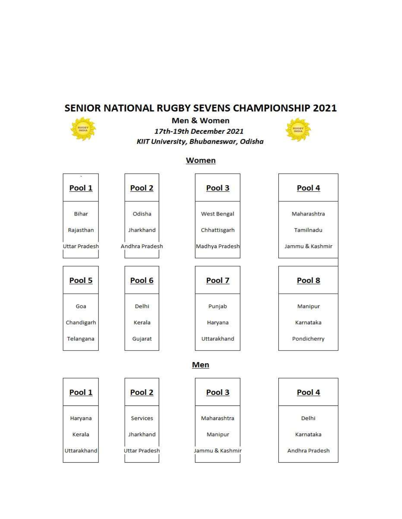# SENIOR NATIONAL RUGBY SEVENS CHAMPIONSHIP 2021



Men & Women 17th-19th December 2021 KIIT University, Bhubaneswar, Odisha



# Women Pool 2 Pool 3

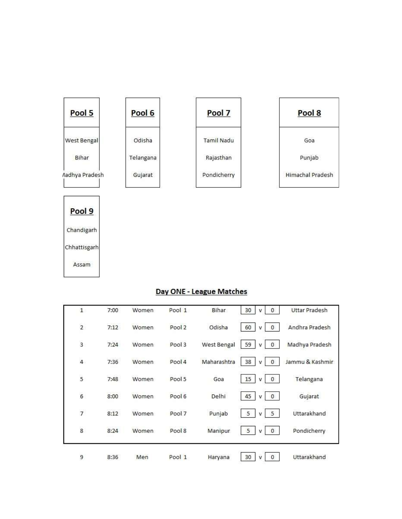

## Day ONE - League Matches

| $\overline{1}$  | 7:00 | Women | Pool 1 | Bihar       | 30<br>$\mathbf{0}$<br>v   | <b>Uttar Pradesh</b> |
|-----------------|------|-------|--------|-------------|---------------------------|----------------------|
| $\overline{2}$  | 7:12 | Women | Pool 2 | Odisha      | 60<br>$\circ$<br>v        | Andhra Pradesh       |
| $\overline{3}$  | 7:24 | Women | Pool 3 | West Bengal | 59<br>$\mathbf{0}$<br>v   | Madhya Pradesh       |
| $\overline{4}$  | 7:36 | Women | Pool 4 | Maharashtra | 38<br>0<br>v              | Jammu & Kashmir      |
| 5               | 7:48 | Women | Pool 5 | Goa         | 15<br>$\mathbf{0}$<br>v   | Telangana            |
| $6\overline{6}$ | 8:00 | Women | Pool 6 | Delhi       | 45<br>$\mathbf{0}$<br>v   | Gujarat              |
| $\overline{7}$  | 8:12 | Women | Pool 7 | Punjab      | 5<br>$5\phantom{.0}$<br>v | Uttarakhand          |
| $\overline{8}$  | 8:24 | Women | Pool 8 | Manipur     | 5<br>$\mathbf{0}$<br>v    | Pondicherry          |
| 9               | 8:36 | Men   | Pool 1 | Haryana     | 30<br>0<br>v              | Uttarakhand          |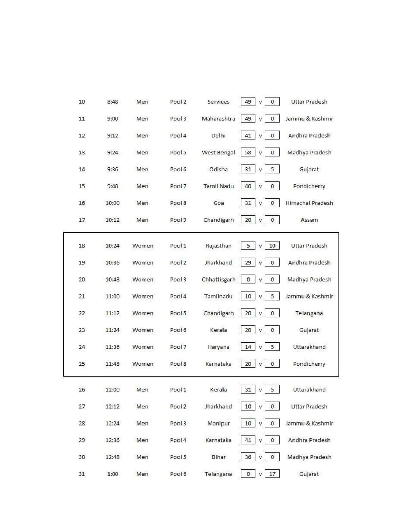| 10 | 8:48  | Men   | Pool 2 | Services          | 49<br>v<br>$\mathbf{0}$               | <b>Uttar Pradesh</b> |
|----|-------|-------|--------|-------------------|---------------------------------------|----------------------|
| 11 | 9:00  | Men   | Pool 3 | Maharashtra       | 49<br>$\bf 0$<br>V                    | Jammu & Kashmir      |
| 12 | 9:12  | Men   | Pool 4 | Delhi             | 41<br>$\pmb{0}$<br>v                  | Andhra Pradesh       |
| 13 | 9:24  | Men   | Pool 5 | West Bengal       | 58<br>0<br>V                          | Madhya Pradesh       |
| 14 | 9:36  | Men   | Pool 6 | Odisha            | $\overline{5}$<br>31<br>V             | Gujarat              |
| 15 | 9:48  | Men   | Pool 7 | <b>Tamil Nadu</b> | 40<br>$\bf 0$<br>v                    | Pondicherry          |
| 16 | 10:00 | Men   | Pool 8 | Goa               | 31<br>$\bf{0}$<br>v                   | Himachal Pradesh     |
| 17 | 10:12 | Men   | Pool 9 | Chandigarh        | 20<br>$\mathbf 0$<br>v                | Assam                |
| 18 | 10:24 | Women | Pool 1 | Rajasthan         | 5<br>10<br>v                          | <b>Uttar Pradesh</b> |
| 19 | 10:36 | Women | Pool 2 | Jharkhand         | 29<br>$\mathbf 0$<br>٧                | Andhra Pradesh       |
| 20 | 10:48 | Women | Pool 3 | Chhattisgarh      | 0<br>$\,0\,$<br>٧                     | Madhya Pradesh       |
| 21 | 11:00 | Women | Pool 4 | Tamilnadu         | 10<br>5<br>v                          | Jammu & Kashmir      |
| 22 | 11:12 | Women | Pool 5 | Chandigarh        | 20<br>$\,0\,$<br>٧                    | Telangana            |
| 23 | 11:24 | Women | Pool 6 | Kerala            | 20<br>$\,0\,$<br>v                    | Gujarat              |
| 24 | 11:36 | Women | Pool 7 | Haryana           | 5<br>14<br>v                          | Uttarakhand          |
| 25 | 11:48 | Women | Pool 8 | Karnataka         | 20<br>0<br>v                          | Pondicherry          |
| 26 | 12:00 | Men   | Pool 1 | Kerala            | 31<br>$\mathsf{v}$<br>$5\phantom{.0}$ | Uttarakhand          |
| 27 | 12:12 | Men   | Pool 2 | Jharkhand         | 10<br>v.<br>$\mathfrak o$             | <b>Uttar Pradesh</b> |
| 28 | 12:24 | Men   | Pool 3 | Manipur           | 10<br>$\,0\,$<br>v                    | Jammu & Kashmir      |
| 29 | 12:36 | Men   | Pool 4 | Karnataka         | $41\,$<br>v<br>$\,0\,$                | Andhra Pradesh       |
| 30 | 12:48 | Men   | Pool 5 | Bihar             | 36<br>v<br>$\,0\,$                    | Madhya Pradesh       |
| 31 | 1:00  | Men   | Pool 6 | Telangana         | 17<br>$\,$ 0<br>٧                     | Gujarat              |
|    |       |       |        |                   |                                       |                      |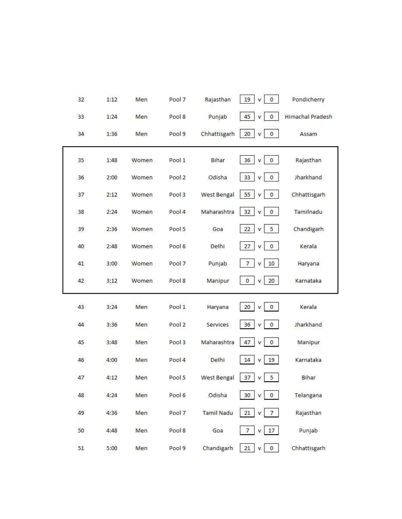| 32 | 1:12 | Men   | Pool 7 | Rajasthan    | 19<br>V<br>$\mathbf 0$          | Pondicherry      |
|----|------|-------|--------|--------------|---------------------------------|------------------|
| 33 | 1:24 | Men   | Pool 8 | Punjab       | 45<br>0<br>V                    | Himachal Pradesh |
| 34 | 1:36 | Men   | Pool 9 | Chhattisgarh | 20<br>$\pmb{0}$<br>v            | Assam            |
| 35 | 1:48 | Women | Pool 1 | Bihar        | 36<br>$\pmb{0}$<br>v            | Rajasthan        |
| 36 | 2:00 | Women | Pool 2 | Odisha       | $\pmb{0}$<br>33<br>V            | Jharkhand        |
| 37 | 2:12 | Women | Pool 3 | West Bengal  | 55<br>$\pmb{0}$<br>v            | Chhattisgarh     |
| 38 | 2:24 | Women | Pool 4 | Maharashtra  | 32<br>$\pmb{0}$<br>v            | Tamilnadu        |
| 39 | 2:36 | Women | Pool 5 | Goa          | 22<br>5<br>v                    | Chandigarh       |
| 40 | 2:48 | Women | Pool 6 | Delhi        | 27<br>$\pmb{0}$<br>$\mathsf{V}$ | Kerala           |
| 41 | 3:00 | Women | Pool 7 | Punjab       | 7<br>10<br>v                    | Haryana          |
| 42 | 3:12 | Women | Pool 8 | Manipur      | 0<br>20<br>v                    | Karnataka        |
| 43 | 3:24 | Men   | Pool 1 | Haryana      | $\bf{0}$<br>20<br>v             | Kerala           |
| 44 | 3:36 | Men   | Pool 2 | Services     | 36<br>$\bf{0}$<br>V             | Jharkhand        |
| 45 | 3:48 | Men   | Pool 3 | Maharashtra  | 0<br>47<br>٧                    | Manipur          |
| 46 | 4:00 | Men   | Pool 4 | Delhi        | 14<br>19<br>v                   | Karnataka        |
| 47 | 4:12 | Men   | Pool 5 | West Bengal  | 5<br>37<br>٧                    | Bihar            |
| 48 | 4:24 | Men   | Pool 6 | Odisha       | 30 <sub>2</sub><br>0<br>v       | Telangana        |
| 49 | 4:36 | Men   | Pool 7 | Tamil Nadu   | 21<br>$\overline{7}$<br>V       | Rajasthan        |
| 50 | 4:48 | Men   | Pool 8 | Goa          | 17<br>$\overline{7}$<br>V       | Punjab           |
| 51 | 5:00 | Men   | Pool 9 | Chandigarh   | $21\,$<br>$\mathbf 0$<br>V      | Chhattisgarh     |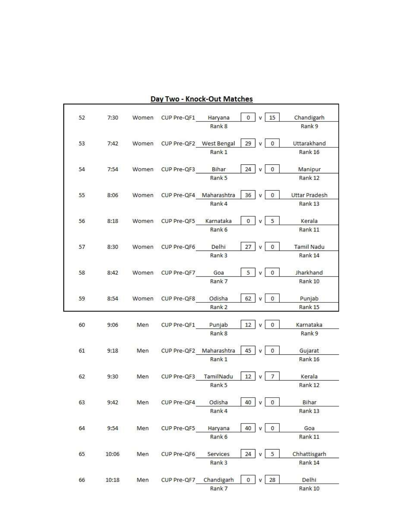| 52 | 7:30  | Women | CUP Pre-QF1             | Haryana                     | 0            | 15                          | Chandigarh           |
|----|-------|-------|-------------------------|-----------------------------|--------------|-----------------------------|----------------------|
|    |       |       |                         | Rank 8                      |              |                             | Rank 9               |
| 53 | 7:42  | Women | CUP Pre-QF2 West Bengal |                             | 29           | $\mathbf{0}$<br>$\mathbf v$ | Uttarakhand          |
|    |       |       |                         | Rank 1                      |              |                             | Rank 16              |
|    |       |       |                         |                             |              |                             |                      |
| 54 | 7:54  | Women | CUP Pre-QF3             | Bihar                       | 24           | $\overline{0}$<br>v         | Manipur              |
|    |       |       |                         | Rank 5                      |              |                             | Rank 12              |
|    |       |       |                         |                             |              |                             |                      |
| 55 | 8:06  | Women | CUP Pre-QF4 Maharashtra |                             | 36           | 0<br>v                      | <b>Uttar Pradesh</b> |
|    |       |       |                         | Rank 4                      |              |                             | Rank 13              |
| 56 | 8:18  | Women | CUP Pre-QF5             | Karnataka                   | $\mathbf{0}$ | 5<br>v                      | Kerala               |
|    |       |       |                         | Rank 6                      |              |                             | Rank 11              |
|    |       |       |                         |                             |              |                             |                      |
| 57 | 8:30  | Women | CUP Pre-QF6             | Delhi                       | 27           | $\pmb{0}$<br>$\bar{V}$      | <b>Tamil Nadu</b>    |
|    |       |       |                         | Rank <sub>3</sub>           |              |                             | Rank 14              |
|    |       |       |                         |                             |              |                             |                      |
| 58 | 8:42  | Women | CUP Pre-QF7             | Goa                         | 5            | $\mathbf{0}$<br>v           | Jharkhand            |
|    |       |       |                         | Rank 7                      |              |                             | Rank 10              |
|    |       |       |                         |                             |              |                             |                      |
| 59 | 8:54  | Women | CUP Pre-QF8             | Odisha<br>Rank <sub>2</sub> | 62           | $\pmb{0}$<br>v              | Punjab<br>Rank 15    |
|    |       |       |                         |                             |              |                             |                      |
| 60 | 9:06  | Men   | CUP Pre-QF1             | Punjab                      | 12           | 0<br>v                      | Karnataka            |
|    |       |       |                         | Rank 8                      |              |                             | Rank 9               |
|    |       |       |                         |                             |              |                             |                      |
| 61 | 9:18  | Men   | CUP Pre-QF2             | Maharashtra                 | 45           | $\,0\,$<br>v                | Gujarat              |
|    |       |       |                         | Rank 1                      |              |                             | Rank 16              |
|    |       |       |                         |                             |              |                             |                      |
| 62 | 9:30  | Men   | CUP Pre-QF3             | TamilNadu                   | 12           | 7<br>$\mathbf{v}$           | Kerala               |
|    |       |       |                         | Rank 5                      |              |                             | Rank 12              |
| 63 | 9:42  | Men   | CUP Pre-QF4             | Odisha                      | 40           | v<br>$\,0\,$                | Bihar                |
|    |       |       |                         | Rank 4                      |              |                             | Rank 13              |
|    |       |       |                         |                             |              |                             |                      |
| 64 | 9:54  | Men   | CUP Pre-QF5             | Haryana                     | 40           | $\mathbf 0$<br>V            | Goa                  |
|    |       |       |                         | Rank 6                      |              |                             | Rank 11              |
|    |       |       |                         |                             |              |                             |                      |
| 65 | 10:06 | Men   | CUP Pre-QF6             | Services                    | 24           | $5\phantom{.0}$<br>v        | Chhattisgarh         |
|    |       |       |                         | Rank 3                      |              |                             | Rank 14              |
| 66 | 10:18 | Men   | CUP Pre-QF7             | Chandigarh                  | $\mathbf{0}$ | 28<br>v                     | Delhi                |
|    |       |       |                         | Rank 7                      |              |                             | Rank 10              |
|    |       |       |                         |                             |              |                             |                      |

## Day Two - Knock-Out Matches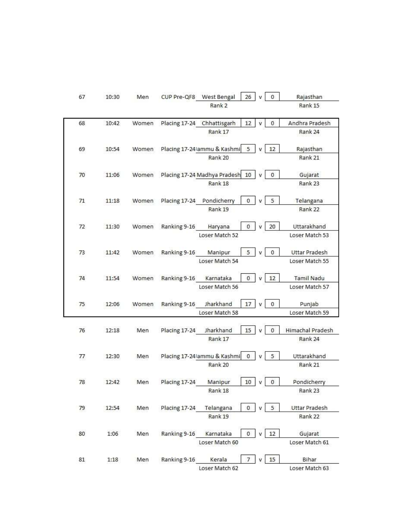| 67 | 10:30 | Men   | CUP Pre-QF8 West Bengal<br>26<br>$\mathbf{0}$<br>Rajasthan                                    |
|----|-------|-------|-----------------------------------------------------------------------------------------------|
|    |       |       | Rank 15<br>Rank <sub>2</sub>                                                                  |
| 68 | 10:42 | Women | 12<br>$\bf 0$<br>Andhra Pradesh<br>Placing 17-24 Chhattisgarh<br>v                            |
|    |       |       | Rank 17<br>Rank 24                                                                            |
| 69 | 10:54 | Women | Placing 17-24 ammu & Kashmi<br>Rajasthan<br>5<br>12                                           |
|    |       |       | Rank 20<br>Rank 21                                                                            |
| 70 | 11:06 | Women | Placing 17-24 Madhya Pradesh<br>$\mathbf{0}$<br>10<br>Gujarat                                 |
|    |       |       | Rank 23<br>Rank 18                                                                            |
| 71 | 11:18 | Women | Placing 17-24 Pondicherry<br>5<br>0<br>Telangana                                              |
|    |       |       | Rank 19<br>Rank 22                                                                            |
| 72 | 11:30 | Women | 20<br>Uttarakhand<br>Ranking 9-16<br>$\mathbf{0}$<br>Haryana<br>v                             |
|    |       |       | Loser Match 52<br>Loser Match 53                                                              |
|    |       |       |                                                                                               |
| 73 | 11:42 | Women | Ranking 9-16<br>5<br><b>Uttar Pradesh</b><br>Manipur<br>$\mathbf 0$                           |
|    |       |       | Loser Match 54<br>Loser Match 55                                                              |
| 74 | 11:54 | Women | 12<br><b>Tamil Nadu</b><br>Ranking 9-16<br>$\mathbf 0$<br>Karnataka<br>v                      |
|    |       |       | Loser Match 56<br>Loser Match 57                                                              |
| 75 | 12:06 | Women | Ranking 9-16<br>Jharkhand<br>17<br>$\mathbf 0$<br>Punjab<br>v                                 |
|    |       |       | Loser Match 58<br>Loser Match 59                                                              |
|    |       |       |                                                                                               |
| 76 | 12:18 | Men   | <b>Himachal Pradesh</b><br>Placing 17-24<br>Jharkhand<br>15<br>$\sigma$<br>Rank 17<br>Rank 24 |
|    |       |       |                                                                                               |
| 77 | 12:30 | Men   | Placing 17-24 lammu & Kashmi<br>5<br>Uttarakhand<br>$\bf{0}$                                  |
|    |       |       | Rank 20<br>Rank 21                                                                            |
|    |       |       |                                                                                               |
| 78 | 12:42 | Men   | 10<br>$\,$ 0<br>Placing 17-24<br>Manipur<br>Pondicherry<br>V.                                 |
|    |       |       | Rank 18<br>Rank 23                                                                            |
| 79 | 12:54 | Men   | $\mathbf 0$<br>5<br>Uttar Pradesh<br>Placing 17-24<br>Telangana<br>v                          |
|    |       |       | Rank 19<br>Rank 22                                                                            |
| 80 | 1:06  | Men   | 12<br>Ranking 9-16<br>0<br>Karnataka<br>Gujarat                                               |
|    |       |       | Loser Match 60<br>Loser Match 61                                                              |
| 81 | 1:18  | Men   | Ranking 9-16<br>$15\,$<br>Bihar<br>Kerala<br>7<br>v                                           |
|    |       |       | Loser Match 62<br>Loser Match 63                                                              |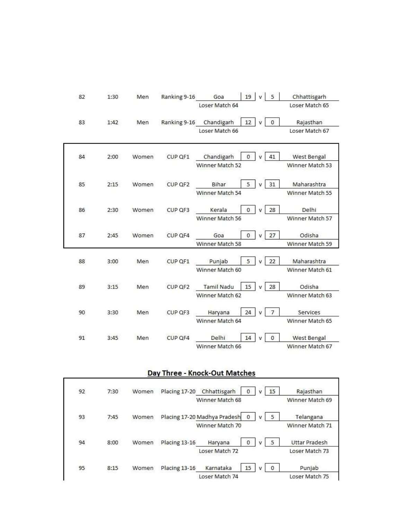| 82 | 1:30 | Men   | Ranking 9-16 | Goa                                       | 19           | $v$ 5               | Chhattisgarh                   |
|----|------|-------|--------------|-------------------------------------------|--------------|---------------------|--------------------------------|
|    |      |       |              | Loser Match 64                            |              |                     | Loser Match 65                 |
| 83 | 1:42 | Men   |              | Ranking 9-16 Chandigarh<br>Loser Match 66 | 12           | $\overline{0}$<br>v | Rajasthan<br>Loser Match 67    |
| 84 | 2:00 | Women | CUP QF1      | Chandigarh<br>Winner Match 52             | $\mathbf{0}$ | 41<br>v             | West Bengal<br>Winner Match 53 |
| 85 | 2:15 | Women | CUP QF2      | Bihar<br>Winner Match 54                  | 5            | 31<br>v             | Maharashtra<br>Winner Match 55 |
| 86 | 2:30 | Women | CUP QF3      | Kerala<br>Winner Match 56                 | $\mathbf{0}$ | 28                  | Delhi<br>Winner Match 57       |
| 87 | 2:45 | Women | CUP QF4      | Goa<br>Winner Match 58                    | $\sigma$     | 27<br>$\mathbf{v}$  | Odisha<br>Winner Match 59      |
| 88 | 3:00 | Men   | CUP QF1      | Punjab<br>Winner Match 60                 | 5            | 22<br>v             | Maharashtra<br>Winner Match 61 |
| 89 | 3:15 | Men   | CUP QF2      | <b>Tamil Nadu</b><br>Winner Match 62      | 15           | 28<br>v             | Odisha<br>Winner Match 63      |
| 90 | 3:30 | Men   | CUP QF3      | Haryana<br>Winner Match 64                | 24           | $\overline{7}$      | Services<br>Winner Match 65    |
| 91 | 3:45 | Men   | CUP QF4      | Delhi<br>Winner Match 66                  | 14           | $\theta$<br>v       | West Bengal<br>Winner Match 67 |

# Day Three - Knock-Out Matches

٦

| 92  | 7:30 | Women | Placing 17-20<br>Chhattisgarh<br>15<br>Rajasthan<br>0      |  |
|-----|------|-------|------------------------------------------------------------|--|
|     |      |       | Winner Match 68<br>Winner Match 69                         |  |
| 93  | 7:45 | Women | Placing 17-20 Madhya Pradesh<br>Telangana<br>5<br>0        |  |
|     |      |       | Winner Match 70<br>Winner Match 71                         |  |
| 94  | 8:00 | Women | <b>Uttar Pradesh</b><br>Placing 13-16<br>Haryana<br>5<br>0 |  |
|     |      |       | Loser Match 72<br>Loser Match 73                           |  |
| 95  | 8:15 | Women | Placing 13-16<br>Karnataka<br>Punjab<br>15<br>$\Omega$     |  |
| --- |      |       | Loser Match 74<br>Loser Match 75                           |  |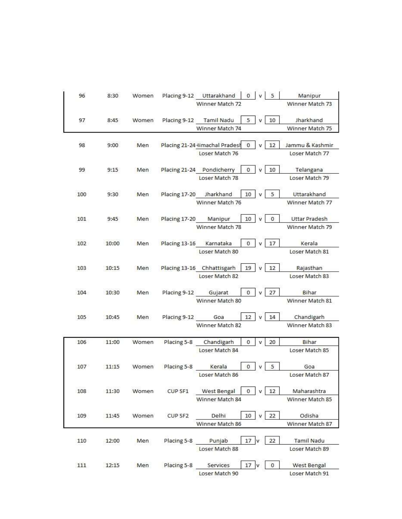|     | 8:30  | Women |                         | Placing 9-12 Uttarakhand       | $0 \mid v \mid 5$ |              |                         | Manipur              |
|-----|-------|-------|-------------------------|--------------------------------|-------------------|--------------|-------------------------|----------------------|
|     |       |       |                         | Winner Match 72                |                   |              |                         | Winner Match 73      |
| 97  | 8:45  | Women |                         | Placing 9-12 Tamil Nadu        | $5 \mid v$        |              | 10                      | Jharkhand            |
|     |       |       |                         | Winner Match 74                |                   |              |                         | Winner Match 75      |
| 98  | 9:00  | Men   |                         | Placing 21-24 Iimachal Pradesh | $\bf{0}$          | v            | 12                      | Jammu & Kashmir      |
|     |       |       |                         | Loser Match 76                 |                   |              |                         | Loser Match 77       |
|     |       |       |                         |                                |                   |              |                         |                      |
| 99  | 9:15  | Men   |                         | Placing 21-24 Pondicherry      | $^{\circ}$        | v            | 10                      | Telangana            |
|     |       |       |                         | Loser Match 78                 |                   |              |                         | Loser Match 79       |
| 100 | 9:30  | Men   | Placing 17-20 Jharkhand |                                | 10                | $\mathbf v$  | 5                       | Uttarakhand          |
|     |       |       |                         | Winner Match 76                |                   |              |                         | Winner Match 77      |
|     |       |       |                         |                                |                   |              |                         |                      |
| 101 | 9:45  | Men   | Placing 17-20 Manipur   |                                | 10                | v            | $\mathbf 0$             | <b>Uttar Pradesh</b> |
|     |       |       |                         | Winner Match 78                |                   |              |                         | Winner Match 79      |
|     |       |       |                         |                                |                   |              |                         |                      |
| 102 | 10:00 | Men   | Placing 13-16           | Karnataka                      | $\mathbf{0}$      | v            | 17                      | Kerala               |
|     |       |       |                         | Loser Match 80                 |                   |              |                         | Loser Match 81       |
|     |       |       |                         |                                |                   |              |                         |                      |
| 103 | 10:15 | Men   |                         | Placing 13-16 Chhattisgarh     | 19                | v            | 12                      | Rajasthan            |
|     |       |       |                         | Loser Match 82                 |                   |              |                         | Loser Match 83       |
| 104 | 10:30 | Men   | Placing 9-12 Gujarat    |                                | $\mathbf{0}$      |              | 27                      | Bihar                |
|     |       |       |                         |                                |                   | V            |                         |                      |
|     |       |       |                         | Winner Match 80                |                   |              |                         | Winner Match 81      |
| 105 | 10:45 | Men   | Placing 9-12 Goa        |                                | 12                | $\mathsf{v}$ | 14                      | Chandigarh           |
|     |       |       |                         | Winner Match 82                |                   |              |                         | Winner Match 83      |
|     |       |       |                         |                                |                   |              |                         |                      |
| 106 | 11:00 | Women | Placing 5-8             | Chandigarh                     | $\mathbf{0}$      | v            | 20                      | Bihar                |
|     |       |       |                         | Loser Match 84                 |                   |              |                         | Loser Match 85       |
|     |       |       |                         |                                |                   |              |                         |                      |
| 107 | 11:15 | Women | Placing 5-8             | Kerala                         | $\mathbf{0}$      | v            | $\overline{\mathbf{5}}$ | Goa                  |
|     |       |       |                         | Loser Match 86                 |                   |              |                         | Loser Match 87       |
|     |       |       |                         |                                |                   |              |                         |                      |
| 108 | 11:30 | Women | CUP SF1                 | West Bengal                    | $\mathbf{0}$      | v            | 12                      | Maharashtra          |
|     |       |       |                         | Winner Match 84                |                   |              |                         | Winner Match 85      |
|     |       |       |                         |                                |                   |              |                         |                      |
|     |       | Women | CUP SF2                 | Delhi                          | $10 \mid v$       |              | 22                      | Odisha               |
| 109 | 11:45 |       |                         | Winner Match 86                |                   |              |                         | Winner Match 87      |
|     |       |       |                         |                                |                   |              |                         |                      |
|     |       |       |                         |                                |                   |              |                         |                      |
| 110 | 12:00 | Men   | Placing 5-8 Punjab      |                                | 17 <sup>V</sup>   |              | 22                      | Tamil Nadu           |
|     |       |       |                         | Loser Match 88                 |                   |              |                         | Loser Match 89       |
|     |       |       |                         |                                |                   |              |                         |                      |
| 111 | 12:15 | Men   | Placing 5-8             | Services                       | $17$ v            |              | $\mathbf 0$             | West Bengal          |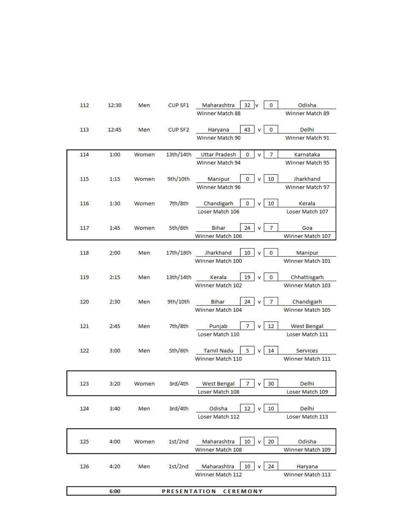| 112 | 12:30 | Men   | CUP SF1             | Maharashtra         | $32 \mid v$     | $^{\circ}$                   | Odisha           |
|-----|-------|-------|---------------------|---------------------|-----------------|------------------------------|------------------|
|     |       |       |                     | Winner Match 88     |                 |                              | Winner Match 89  |
| 113 | 12:45 | Men   | CUP SF <sub>2</sub> | Haryana             | 43              | $\mathbf{0}$<br>$\mathbf{v}$ | Delhi            |
|     |       |       |                     | Winner Match 90     |                 |                              | Winner Match 91  |
| 114 | 1:00  | Women | 13th/14th           | Uttar Pradesh       | $\mathbf{0}$    | v<br>$\overline{7}$          | Karnataka        |
|     |       |       |                     | Winner Match 94     |                 |                              | Winner Match 95  |
| 115 | 1:15  | Women | 9th/10th            | Manipur             | $\mathbf{0}$    | 10<br>v                      | Jharkhand        |
|     |       |       |                     | Winner Match 96     |                 |                              | Winner Match 97  |
| 116 | 1:30  | Women | 7th/8th             | Chandigarh          | 0               | 10                           | Kerala           |
|     |       |       |                     | Loser Match 106     |                 |                              | Loser Match 107  |
| 117 | 1:45  | Women | 5th/6th             | Bihar               | 24              | $\overline{7}$               | Goa              |
|     |       |       |                     | Winner Match 106    |                 |                              | Winner Match 107 |
| 118 | 2:00  | Men   |                     | 17th/18th Jharkhand | 10              | $\mathbf{0}$<br>$\mathbf v$  | Manipur          |
|     |       |       |                     | Winner Match 100    |                 |                              | Winner Match 101 |
| 119 | 2:15  | Men   |                     | 13th/14th Kerala    | $19$ $v$        | $\mathbf{0}$                 | Chhattisgarh     |
|     |       |       |                     | Winner Match 102    |                 |                              | Winner Match 103 |
| 120 | 2:30  | Men   | 9th/10th            | Bihar               | $24$ v          | $\overline{7}$               | Chandigarh       |
|     |       |       |                     | Winner Match 104    |                 |                              | Winner Match 105 |
| 121 | 2:45  | Men   | 7th/8th             | Punjab              | $\overline{7}$  | 12<br>v                      | West Bengal      |
|     |       |       |                     | Loser Match 110     |                 |                              | Loser Match 111  |
| 122 | 3:00  | Men   | 5th/6th             | Tamil Nadu          | 5               | 14<br>v                      | Services         |
|     |       |       |                     | Winner Match 110    |                 |                              | Winner Match 111 |
|     |       |       |                     |                     |                 |                              |                  |
| 123 | 3:20  | Women | 3rd/4th             | West Bengal         | 7               | 30                           | Delhi.           |
|     |       |       |                     | Loser Match 108     |                 |                              | Loser Match 109  |
| 124 | 3:40  | Men   | 3rd/4th             | Odisha              | 12              | 10<br>v                      | <b>Delhi</b>     |
|     |       |       |                     | Loser Match 112     |                 |                              | Loser Match 113  |
|     |       |       |                     |                     |                 |                              |                  |
| 125 | 4:00  | Women | 1st/2nd             | Maharashtra         | 10              | 20                           | Odisha           |
|     |       |       |                     | Winner Match 108    |                 |                              | Winner Match 109 |
| 126 | 4:20  | Men   | 1st/2nd             | Maharashtra         | 10              | 24<br>v                      | Haryana          |
|     |       |       |                     | Winner Match 112    |                 |                              | Winner Match 113 |
|     |       |       |                     |                     |                 |                              |                  |
|     | 6:00  |       | <b>PRESENTATION</b> |                     | <b>CEREMONY</b> |                              |                  |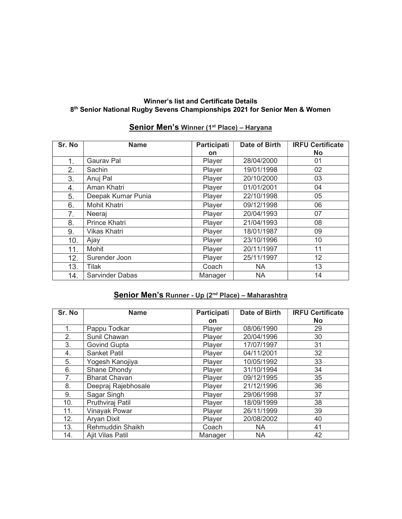#### Winner's list and Certificate Details 8<sup>th</sup> Senior National Rugby Sevens Championships 2021 for Senior Men & Women

# Senior Men's Winner (1<sup>st</sup> Place) - Haryana

| Sr. No | <b>Name</b>            | Participati | Date of Birth | <b>IRFU Certificate</b> |
|--------|------------------------|-------------|---------------|-------------------------|
|        |                        | on          |               | <b>No</b>               |
| 1.     | <b>Gaurav Pal</b>      | Player      | 28/04/2000    | 01                      |
| 2.     | Sachin                 | Player      | 19/01/1998    | 02                      |
| 3.     | Anuj Pal               | Player      | 20/10/2000    | 03                      |
| 4.     | Aman Khatri            | Player      | 01/01/2001    | 04                      |
| 5.     | Deepak Kumar Punia     | Player      | 22/10/1998    | 05                      |
| 6.     | <b>Mohit Khatri</b>    | Player      | 09/12/1998    | 06                      |
| 7.     | Neeraj                 | Player      | 20/04/1993    | 07                      |
| 8.     | <b>Prince Khatri</b>   | Player      | 21/04/1993    | 08                      |
| 9.     | <b>Vikas Khatri</b>    | Player      | 18/01/1987    | 09                      |
| 10.    | Ajay                   | Player      | 23/10/1996    | 10                      |
| 11.    | Mohit                  | Player      | 20/11/1997    | 11                      |
| 12.    | Surender Joon          | Player      | 25/11/1997    | 12 <sub>2</sub>         |
| 13.    | Tilak                  | Coach       | <b>NA</b>     | 13                      |
| 14.    | <b>Sarvinder Dabas</b> | Manager     | <b>NA</b>     | 14                      |

## Senior Men's Runner - Up (2<sup>nd</sup> Place) - Maharashtra

| Sr. No | <b>Name</b>          | Participati | Date of Birth | <b>IRFU Certificate</b> |
|--------|----------------------|-------------|---------------|-------------------------|
|        |                      | on          |               | <b>No</b>               |
| 1.     | Pappu Todkar         | Player      | 08/06/1990    | 29                      |
| 2.     | Sunil Chawan         | Player      | 20/04/1996    | 30                      |
| 3.     | <b>Govind Gupta</b>  | Player      | 17/07/1997    | 31                      |
| 4.     | <b>Sanket Patil</b>  | Player      | 04/11/2001    | 32                      |
| 5.     | Yogesh Kanojiya      | Player      | 10/05/1992    | 33                      |
| 6.     | Shane Dhondy         | Player      | 31/10/1994    | 34                      |
| 7.     | <b>Bharat Chavan</b> | Player      | 09/12/1995    | 35                      |
| 8.     | Deepraj Rajebhosale  | Player      | 21/12/1996    | 36                      |
| 9.     | Sagar Singh          | Player      | 29/06/1998    | 37                      |
| 10.    | Pruthviraj Patil     | Player      | 18/09/1999    | 38                      |
| 11.    | <b>Vinayak Powar</b> | Player      | 26/11/1999    | 39                      |
| 12.    | <b>Aryan Dixit</b>   | Player      | 20/08/2002    | 40                      |
| 13.    | Rehmuddin Shaikh     | Coach       | <b>NA</b>     | 41                      |
| 14.    | Ajit Vilas Patil     | Manager     | <b>NA</b>     | 42                      |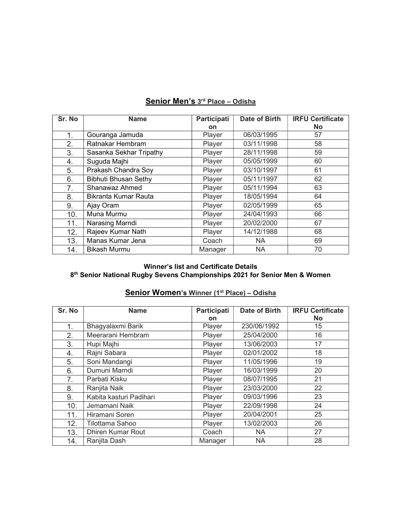| Sr. No | <b>Name</b>                 | Participati | Date of Birth | <b>IRFU Certificate</b> |
|--------|-----------------------------|-------------|---------------|-------------------------|
|        |                             | <b>on</b>   |               | <b>No</b>               |
| 1.     | Gouranga Jamuda             | Player      | 06/03/1995    | 57                      |
| 2.     | Ratnakar Hembram            | Player      | 03/11/1998    | 58                      |
| 3.     | Sasanka Sekhar Tripathy     | Player      | 28/11/1998    | 59                      |
| 4.     | Suguda Majhi                | Player      | 05/05/1999    | 60                      |
| 5.     | Prakash Chandra Soy         | Player      | 03/10/1997    | 61                      |
| 6.     | <b>Bibhuti Bhusan Sethy</b> | Player      | 05/11/1997    | 62                      |
| 7.     | Shanawaz Ahmed              | Player      | 05/11/1994    | 63                      |
| 8.     | Bikranta Kumar Rauta        | Player      | 18/05/1994    | 64                      |
| 9.     | Ajay Oram                   | Player      | 02/05/1999    | 65                      |
| 10.    | Muna Murmu                  | Player      | 24/04/1993    | 66                      |
| 11.    | Narasing Marndi             | Player      | 20/02/2000    | 67                      |
| 12.    | Rajeev Kumar Nath           | Player      | 14/12/1988    | 68                      |
| 13.    | Manas Kumar Jena            | Coach       | <b>NA</b>     | 69                      |
| 14.    | <b>Bikash Murmu</b>         | Manager     | <b>NA</b>     | 70                      |

# Senior Men's 3rd Place - Odisha

#### Winner's list and Certificate Details 8<sup>th</sup> Senior National Rugby Sevens Championships 2021 for Senior Men & Women

## Senior Women's Winner (1<sup>st</sup> Place) - Odisha

| Sr. No | <b>Name</b>              | Participati | Date of Birth | <b>IRFU Certificate</b> |
|--------|--------------------------|-------------|---------------|-------------------------|
|        |                          | on          |               | <b>No</b>               |
| 1.     | Bhagyalaxmi Barik        | Player      | 230/06/1992   | 15                      |
| 2.     | Meerarani Hembram        | Player      | 25/04/2000    | 16                      |
| 3.     | Hupi Majhi               | Player      | 13/06/2003    | 17                      |
| 4.     | Rajni Sabara             | Player      | 02/01/2002    | 18                      |
| 5.     | Soni Mandangi            | Player      | 11/05/1996    | 19                      |
| 6.     | Dumuni Marndi            | Player      | 16/03/1999    | 20                      |
| 7.     | Parbati Kisku            | Player      | 08/07/1995    | 21                      |
| 8.     | Ranjita Naik             | Player      | 23/03/2000    | 22                      |
| 9.     | Kabita kasturi Padihari  | Player      | 09/03/1996    | 23                      |
| 10.    | Jemamani Naik            | Player      | 22/09/1998    | 24                      |
| 11.    | Hiramani Soren           | Player      | 20/04/2001    | 25                      |
| 12.    | Tilottama Sahoo          | Player      | 13/02/2003    | 26                      |
| 13.    | <b>Dhiren Kumar Rout</b> | Coach       | <b>NA</b>     | 27                      |
| 14.    | Ranjita Dash             | Manager     | <b>NA</b>     | 28                      |